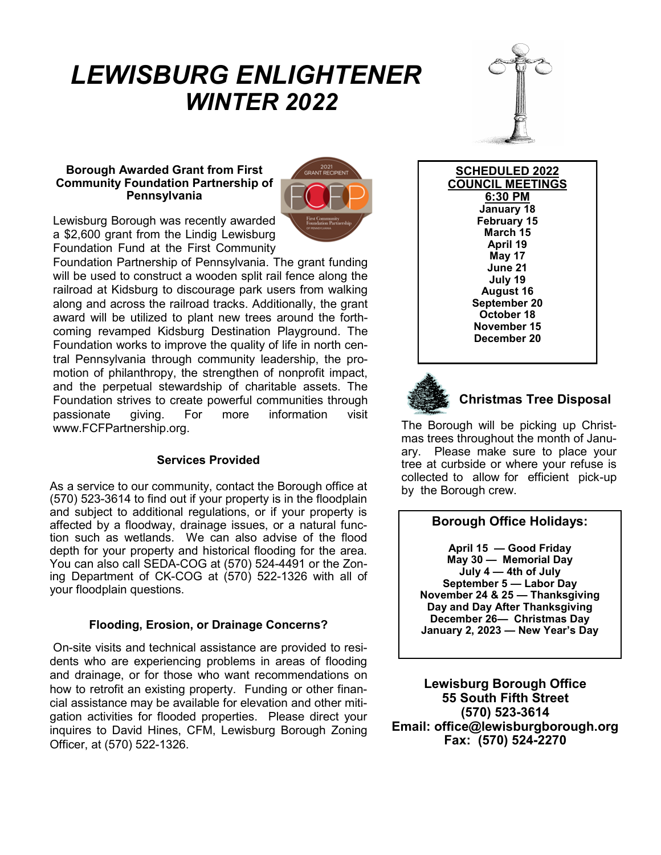# *LEWISBURG ENLIGHTENER WINTER 2022*



#### **Borough Awarded Grant from First Community Foundation Partnership of Pennsylvania**



Lewisburg Borough was recently awarded a \$2,600 grant from the Lindig Lewisburg Foundation Fund at the First Community

Foundation Partnership of Pennsylvania. The grant funding will be used to construct a wooden split rail fence along the railroad at Kidsburg to discourage park users from walking along and across the railroad tracks. Additionally, the grant award will be utilized to plant new trees around the forthcoming revamped Kidsburg Destination Playground. The Foundation works to improve the quality of life in north central Pennsylvania through community leadership, the promotion of philanthropy, the strengthen of nonprofit impact, and the perpetual stewardship of charitable assets. The Foundation strives to create powerful communities through passionate giving. For more information visit www.FCFPartnership.org.

## **Services Provided**

As a service to our community, contact the Borough office at (570) 523-3614 to find out if your property is in the floodplain and subject to additional regulations, or if your property is affected by a floodway, drainage issues, or a natural function such as wetlands. We can also advise of the flood depth for your property and historical flooding for the area. You can also call SEDA-COG at (570) 524-4491 or the Zoning Department of CK-COG at (570) 522-1326 with all of your floodplain questions.

## **Flooding, Erosion, or Drainage Concerns?**

On-site visits and technical assistance are provided to residents who are experiencing problems in areas of flooding and drainage, or for those who want recommendations on how to retrofit an existing property. Funding or other financial assistance may be available for elevation and other mitigation activities for flooded properties. Please direct your inquires to David Hines, CFM, Lewisburg Borough Zoning Officer, at (570) 522-1326.

**SCHEDULED 2022 COUNCIL MEETINGS 6:30 PM January 18 February 15 March 15 April 19 May 17 June 21 July 19 August 16 September 20 October 18 November 15 December 20**



# **Christmas Tree Disposal**

The Borough will be picking up Christmas trees throughout the month of January. Please make sure to place your tree at curbside or where your refuse is collected to allow for efficient pick-up by the Borough crew.

# **Borough Office Holidays:**

**April 15 — Good Friday May 30 — Memorial Day July 4 — 4th of July September 5 — Labor Day November 24 & 25 — Thanksgiving Day and Day After Thanksgiving December 26— Christmas Day January 2, 2023 — New Year's Day**

**Lewisburg Borough Office 55 South Fifth Street (570) 523-3614 Email: office@lewisburgborough.org Fax: (570) 524-2270**